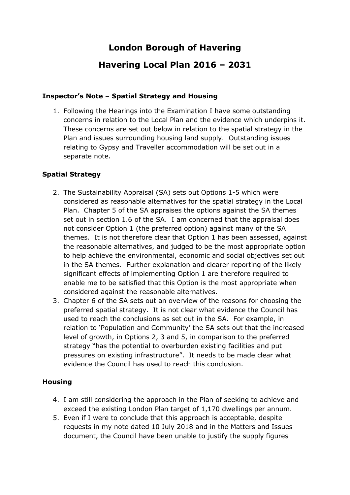# **London Borough of Havering**

# **Havering Local Plan 2016 – 2031**

## **Inspector's Note – Spatial Strategy and Housing**

1. Following the Hearings into the Examination I have some outstanding concerns in relation to the Local Plan and the evidence which underpins it. These concerns are set out below in relation to the spatial strategy in the Plan and issues surrounding housing land supply. Outstanding issues relating to Gypsy and Traveller accommodation will be set out in a separate note.

## **Spatial Strategy**

- 2. The Sustainability Appraisal (SA) sets out Options 1-5 which were considered as reasonable alternatives for the spatial strategy in the Local Plan. Chapter 5 of the SA appraises the options against the SA themes set out in section 1.6 of the SA. I am concerned that the appraisal does not consider Option 1 (the preferred option) against many of the SA themes. It is not therefore clear that Option 1 has been assessed, against the reasonable alternatives, and judged to be the most appropriate option to help achieve the environmental, economic and social objectives set out in the SA themes. Further explanation and clearer reporting of the likely significant effects of implementing Option 1 are therefore required to enable me to be satisfied that this Option is the most appropriate when considered against the reasonable alternatives.
- 3. Chapter 6 of the SA sets out an overview of the reasons for choosing the preferred spatial strategy. It is not clear what evidence the Council has used to reach the conclusions as set out in the SA. For example, in relation to 'Population and Community' the SA sets out that the increased level of growth, in Options 2, 3 and 5, in comparison to the preferred strategy "has the potential to overburden existing facilities and put pressures on existing infrastructure". It needs to be made clear what evidence the Council has used to reach this conclusion.

## **Housing**

- 4. I am still considering the approach in the Plan of seeking to achieve and exceed the existing London Plan target of 1,170 dwellings per annum.
- 5. Even if I were to conclude that this approach is acceptable, despite requests in my note dated 10 July 2018 and in the Matters and Issues document, the Council have been unable to justify the supply figures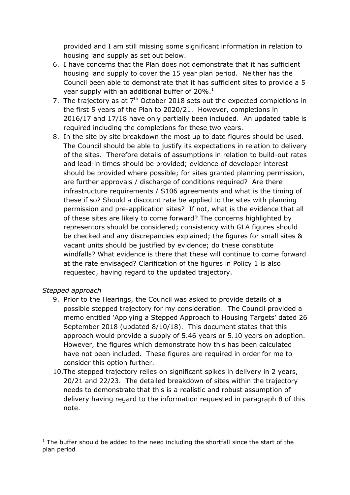provided and I am still missing some significant information in relation to housing land supply as set out below.

- 6. I have concerns that the Plan does not demonstrate that it has sufficient housing land supply to cover the 15 year plan period. Neither has the Council been able to demonstrate that it has sufficient sites to provide a 5 year supply with an additional buffer of  $20\%$ .<sup>1</sup>
- 7. The trajectory as at  $7<sup>th</sup>$  October 2018 sets out the expected completions in the first 5 years of the Plan to 2020/21. However, completions in 2016/17 and 17/18 have only partially been included. An updated table is required including the completions for these two years.
- 8. In the site by site breakdown the most up to date figures should be used. The Council should be able to justify its expectations in relation to delivery of the sites. Therefore details of assumptions in relation to build-out rates and lead-in times should be provided; evidence of developer interest should be provided where possible; for sites granted planning permission, are further approvals / discharge of conditions required? Are there infrastructure requirements / S106 agreements and what is the timing of these if so? Should a discount rate be applied to the sites with planning permission and pre-application sites? If not, what is the evidence that all of these sites are likely to come forward? The concerns highlighted by representors should be considered; consistency with GLA figures should be checked and any discrepancies explained; the figures for small sites & vacant units should be justified by evidence; do these constitute windfalls? What evidence is there that these will continue to come forward at the rate envisaged? Clarification of the figures in Policy 1 is also requested, having regard to the updated trajectory.

## *Stepped approach*

- 9. Prior to the Hearings, the Council was asked to provide details of a possible stepped trajectory for my consideration. The Council provided a memo entitled 'Applying a Stepped Approach to Housing Targets' dated 26 September 2018 (updated 8/10/18). This document states that this approach would provide a supply of 5.46 years or 5.10 years on adoption. However, the figures which demonstrate how this has been calculated have not been included. These figures are required in order for me to consider this option further.
- 10.The stepped trajectory relies on significant spikes in delivery in 2 years, 20/21 and 22/23. The detailed breakdown of sites within the trajectory needs to demonstrate that this is a realistic and robust assumption of delivery having regard to the information requested in paragraph 8 of this note.

<sup>-</sup> $1$  The buffer should be added to the need including the shortfall since the start of the plan period